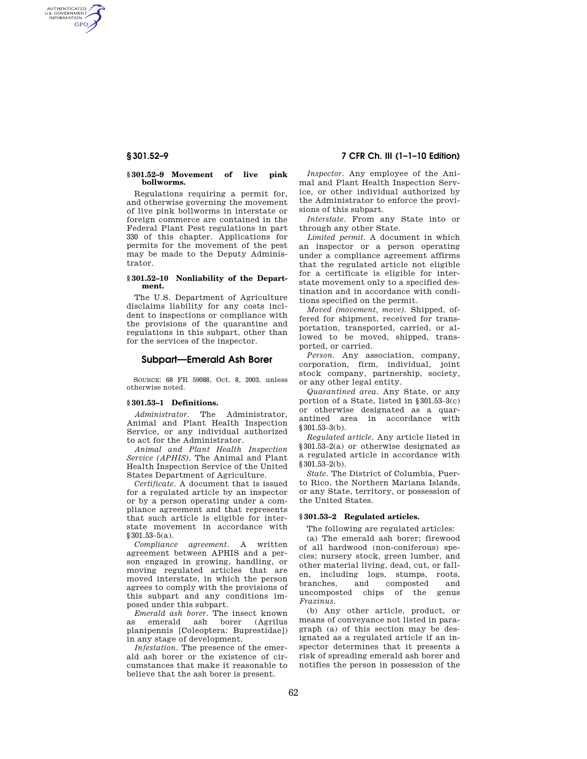AUTHENTICATED<br>U.S. GOVERNMENT<br>INFORMATION **GPO** 

#### **§ 301.52–9 Movement of live pink bollworms.**

Regulations requiring a permit for, and otherwise governing the movement of live pink bollworms in interstate or foreign commerce are contained in the Federal Plant Pest regulations in part 330 of this chapter. Applications for permits for the movement of the pest may be made to the Deputy Administrator.

#### **§ 301.52–10 Nonliability of the Department.**

The U.S. Department of Agriculture disclaims liability for any costs incident to inspections or compliance with the provisions of the quarantine and regulations in this subpart, other than for the services of the inspector.

#### **Subpart—Emerald Ash Borer**

SOURCE: 68 FR 59088, Oct. 8, 2003, unless otherwise noted.

#### **§ 301.53–1 Definitions.**

*Administrator.* The Administrator, Animal and Plant Health Inspection Service, or any individual authorized to act for the Administrator.

*Animal and Plant Health Inspection Service (APHIS).* The Animal and Plant Health Inspection Service of the United States Department of Agriculture.

*Certificate.* A document that is issued for a regulated article by an inspector or by a person operating under a compliance agreement and that represents that such article is eligible for interstate movement in accordance with §301.53–5(a).

*Compliance agreement.* A written agreement between APHIS and a person engaged in growing, handling, or moving regulated articles that are moved interstate, in which the person agrees to comply with the provisions of this subpart and any conditions imposed under this subpart.

*Emerald ash borer.* The insect known as emerald ash borer (Agrilus planipennis [Coleoptera: Buprestidae]) in any stage of development.

*Infestation.* The presence of the emerald ash borer or the existence of circumstances that make it reasonable to believe that the ash borer is present.

### **§ 301.52–9 7 CFR Ch. III (1–1–10 Edition)**

*Inspector.* Any employee of the Animal and Plant Health Inspection Service, or other individual authorized by the Administrator to enforce the provisions of this subpart.

*Interstate.* From any State into or through any other State.

*Limited permit.* A document in which an inspector or a person operating under a compliance agreement affirms that the regulated article not eligible for a certificate is eligible for interstate movement only to a specified destination and in accordance with conditions specified on the permit.

*Moved (movement, move).* Shipped, offered for shipment, received for transportation, transported, carried, or allowed to be moved, shipped, transported, or carried.

*Person.* Any association, company, corporation, firm, individual, joint stock company, partnership, society, or any other legal entity.

*Quarantined area.* Any State, or any portion of a State, listed in §301.53–3(c) or otherwise designated as a quarantined area in accordance with §301.53–3(b).

*Regulated article.* Any article listed in §301.53–2(a) or otherwise designated as a regulated article in accordance with §301.53–2(b).

*State.* The District of Columbia, Puerto Rico, the Northern Mariana Islands, or any State, territory, or possession of the United States.

#### **§ 301.53–2 Regulated articles.**

The following are regulated articles:

(a) The emerald ash borer; firewood of all hardwood (non-coniferous) species; nursery stock, green lumber, and other material living, dead, cut, or fallen, including logs, stumps, roots, branches, and composted and uncomposted chips of the genus *Fraxinus.* 

(b) Any other article, product, or means of conveyance not listed in paragraph (a) of this section may be designated as a regulated article if an inspector determines that it presents a risk of spreading emerald ash borer and notifies the person in possession of the